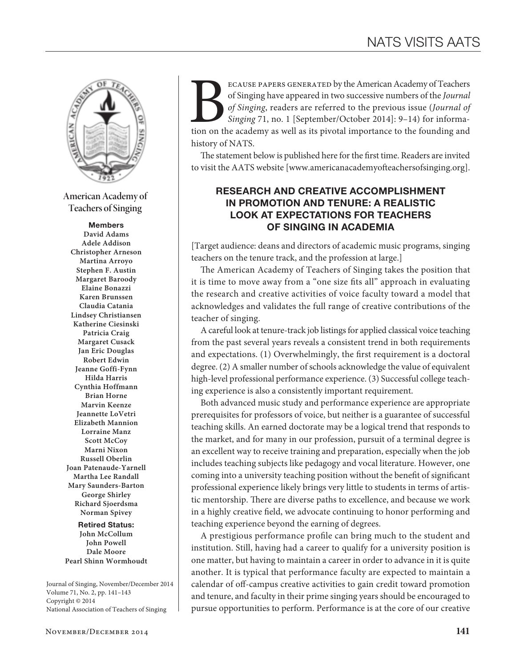

**American Academy of Teachers of Singing**

#### Members

**David Adams Adele Addison Christopher Arneson Martina Arroyo Stephen F. Austin Margaret Baroody Elaine Bonazzi Karen Brunssen Claudia Catania Lindsey Christiansen Katherine Ciesinski Patricia Craig Margaret Cusack Jan Eric Douglas Robert Edwin Jeanne Goffi-Fynn Hilda Harris Cynthia Hoffmann Brian Horne Marvin Keenze Jeannette LoVetri Elizabeth Mannion Lorraine Manz Scott McCoy Marni Nixon Russell Oberlin Joan Patenaude-Yarnell Martha Lee Randall Mary Saunders-Barton George Shirley Richard Sjoerdsma Norman Spivey**

#### Retired Status: **John McCollum John Powell Dale Moore Pearl Shinn Wormhoudt**

Journal of Singing, November/December 2014 Volume 71, No. 2, pp. 141–143 Copyright © 2014 National Association of Teachers of Singing

ECAUSE PAPERS GENERATED by the American Academy of Teachers of Singing have appeared in two successive numbers of the *Journal of Singing* 71, no. 1 [September/October 2014]: 9–14) for information on the academy as well as of Singing have appeared in two successive numbers of the *Journal of Singing*, readers are referred to the previous issue (*Journal of Singing* 71, no. 1 [September/October 2014]: 9–14) for informahistory of NATS.

The statement below is published here for the first time. Readers are invited to visit the AATS website [www.americanacademyofteachersofsinging.org].

## RESEARCH AND CREATIVE ACCOMPLISHMENT IN PROMOTION AND TENURE: A REALISTIC LOOK AT EXPECTATIONS FOR TEACHERS OF SINGING IN ACADEMIA

[Target audience: deans and directors of academic music programs, singing teachers on the tenure track, and the profession at large.]

The American Academy of Teachers of Singing takes the position that it is time to move away from a "one size fits all" approach in evaluating the research and creative activities of voice faculty toward a model that acknowledges and validates the full range of creative contributions of the teacher of singing.

A careful look at tenure-track job listings for applied classical voice teaching from the past several years reveals a consistent trend in both requirements and expectations. (1) Overwhelmingly, the first requirement is a doctoral degree. (2) A smaller number of schools acknowledge the value of equivalent high-level professional performance experience. (3) Successful college teaching experience is also a consistently important requirement.

Both advanced music study and performance experience are appropriate prerequisites for professors of voice, but neither is a guarantee of successful teaching skills. An earned doctorate may be a logical trend that responds to the market, and for many in our profession, pursuit of a terminal degree is an excellent way to receive training and preparation, especially when the job includes teaching subjects like pedagogy and vocal literature. However, one coming into a university teaching position without the benefit of significant professional experience likely brings very little to students in terms of artistic mentorship. There are diverse paths to excellence, and because we work in a highly creative field, we advocate continuing to honor performing and teaching experience beyond the earning of degrees.

A prestigious performance profile can bring much to the student and institution. Still, having had a career to qualify for a university position is one matter, but having to maintain a career in order to advance in it is quite another. It is typical that performance faculty are expected to maintain a calendar of off-campus creative activities to gain credit toward promotion and tenure, and faculty in their prime singing years should be encouraged to pursue opportunities to perform. Performance is at the core of our creative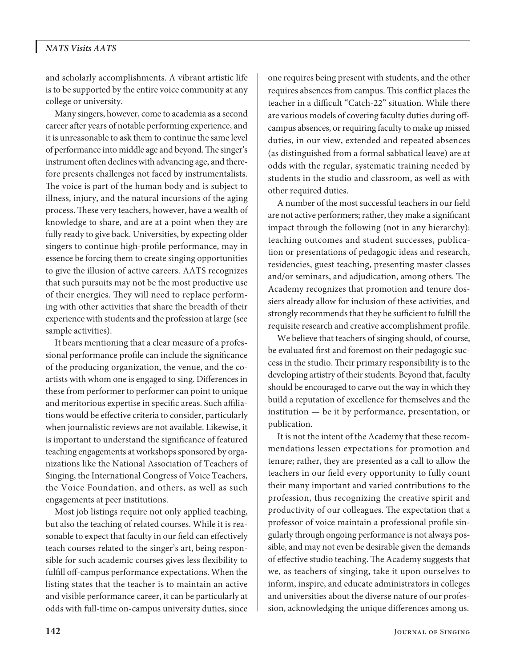## *NATS Visits AATS*

and scholarly accomplishments. A vibrant artistic life is to be supported by the entire voice community at any college or university.

Many singers, however, come to academia as a second career after years of notable performing experience, and it is unreasonable to ask them to continue the same level of performance into middle age and beyond. The singer's instrument often declines with advancing age, and therefore presents challenges not faced by instrumentalists. The voice is part of the human body and is subject to illness, injury, and the natural incursions of the aging process. These very teachers, however, have a wealth of knowledge to share, and are at a point when they are fully ready to give back. Universities, by expecting older singers to continue high-profile performance, may in essence be forcing them to create singing opportunities to give the illusion of active careers. AATS recognizes that such pursuits may not be the most productive use of their energies. They will need to replace performing with other activities that share the breadth of their experience with students and the profession at large (see sample activities).

It bears mentioning that a clear measure of a professional performance profile can include the significance of the producing organization, the venue, and the coartists with whom one is engaged to sing. Differences in these from performer to performer can point to unique and meritorious expertise in specific areas. Such affiliations would be effective criteria to consider, particularly when journalistic reviews are not available. Likewise, it is important to understand the significance of featured teaching engagements at workshops sponsored by organizations like the National Association of Teachers of Singing, the International Congress of Voice Teachers, the Voice Foundation, and others, as well as such engagements at peer institutions.

Most job listings require not only applied teaching, but also the teaching of related courses. While it is reasonable to expect that faculty in our field can effectively teach courses related to the singer's art, being responsible for such academic courses gives less flexibility to fulfill off-campus performance expectations. When the listing states that the teacher is to maintain an active and visible performance career, it can be particularly at odds with full-time on-campus university duties, since one requires being present with students, and the other requires absences from campus. This conflict places the teacher in a difficult "Catch-22" situation. While there are various models of covering faculty duties during offcampus absences, or requiring faculty to make up missed duties, in our view, extended and repeated absences (as distinguished from a formal sabbatical leave) are at odds with the regular, systematic training needed by students in the studio and classroom, as well as with other required duties.

A number of the most successful teachers in our field are not active performers; rather, they make a significant impact through the following (not in any hierarchy): teaching outcomes and student successes, publication or presentations of pedagogic ideas and research, residencies, guest teaching, presenting master classes and/or seminars, and adjudication, among others. The Academy recognizes that promotion and tenure dossiers already allow for inclusion of these activities, and strongly recommends that they be sufficient to fulfill the requisite research and creative accomplishment profile.

We believe that teachers of singing should, of course, be evaluated first and foremost on their pedagogic success in the studio. Their primary responsibility is to the developing artistry of their students. Beyond that, faculty should be encouraged to carve out the way in which they build a reputation of excellence for themselves and the institution — be it by performance, presentation, or publication.

It is not the intent of the Academy that these recommendations lessen expectations for promotion and tenure; rather, they are presented as a call to allow the teachers in our field every opportunity to fully count their many important and varied contributions to the profession, thus recognizing the creative spirit and productivity of our colleagues. The expectation that a professor of voice maintain a professional profile singularly through ongoing performance is not always possible, and may not even be desirable given the demands of effective studio teaching. The Academy suggests that we, as teachers of singing, take it upon ourselves to inform, inspire, and educate administrators in colleges and universities about the diverse nature of our profession, acknowledging the unique differences among us.